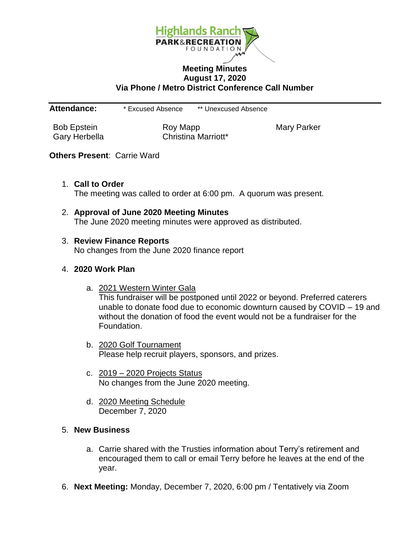

## **Meeting Minutes August 17, 2020 Via Phone / Metro District Conference Call Number**

**Attendance:** \* Excused Absence \*\* Unexcused Absence

Bob Epstein **Roy Mapp** Roy Mapp Mary Parker Gary Herbella **Christina Marriott**\*

## **Others Present**: Carrie Ward

1. **Call to Order**

The meeting was called to order at 6:00 pm. A quorum was present.

2. **Approval of June 2020 Meeting Minutes** The June 2020 meeting minutes were approved as distributed.

## 3. **Review Finance Reports**

No changes from the June 2020 finance report

## 4. **2020 Work Plan**

- a. 2021 Western Winter Gala This fundraiser will be postponed until 2022 or beyond. Preferred caterers unable to donate food due to economic downturn caused by COVID – 19 and without the donation of food the event would not be a fundraiser for the Foundation.
- b. 2020 Golf Tournament Please help recruit players, sponsors, and prizes.
- c. 2019 2020 Projects Status No changes from the June 2020 meeting.
- d. 2020 Meeting Schedule December 7, 2020
- 5. **New Business**
	- a. Carrie shared with the Trusties information about Terry's retirement and encouraged them to call or email Terry before he leaves at the end of the year.
- 6. **Next Meeting:** Monday, December 7, 2020, 6:00 pm / Tentatively via Zoom